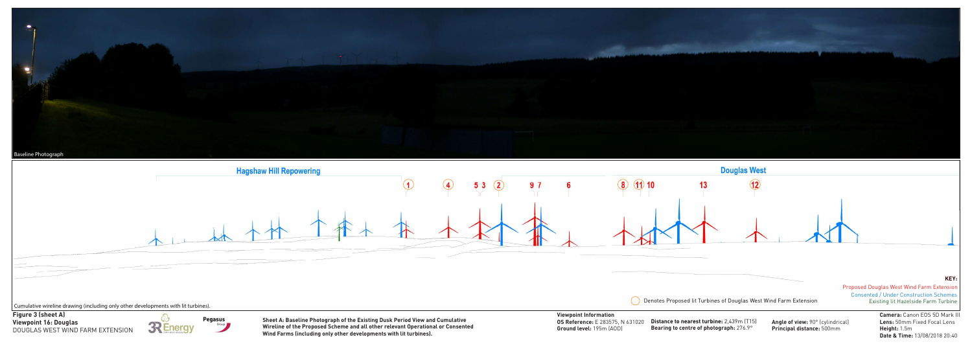



**Principal distance:** 500mm

**Camera:** Canon EOS 5D Mark III **Lens:** 50mm Fixed Focal Lens **Height:** 1.5m **Date & Time:** 13/08/2018 20:40

**Pegasus** Sheet A: Baseline Photograph of the Existing Dusk Period View and Cumulative **OS Reference:** E 283575, N 631020 Distance to nearest turbine: 2,439m (T15) Angle of view: 90° (cylindrical) **Wireline of the Proposed Scheme and all other relevant Operational or Consented Wind Farms (including only other developments with lit turbines).**

**Figure 3 (sheet A)** DOUGLAS WEST WIND FARM EXTENSION



**Distance to nearest turbine:** 2,439m (T15) **Bearing to centre of photograph:** 276.9°

**Viewpoint Information OS Reference:** E 283575, N 631020 **Ground level:** 195m (AOD)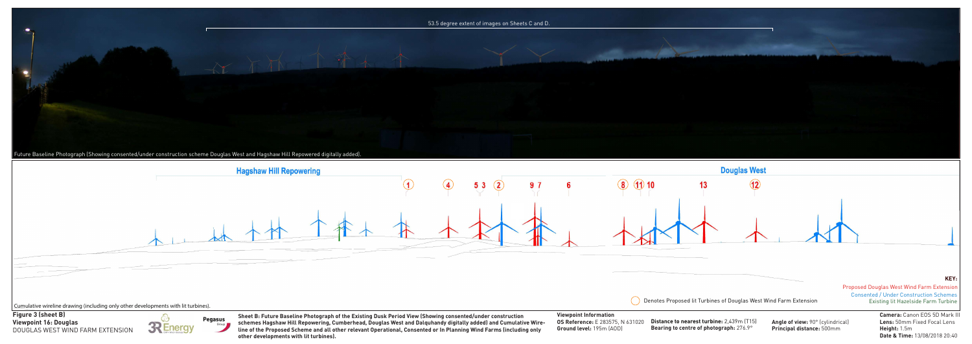

**Principal distance:** 500mm

![](_page_1_Figure_2.jpeg)

**Camera:** Canon EOS 5D Mark III **Lens:** 50mm Fixed Focal Lens **Height:** 1.5m **Date & Time:** 13/08/2018 20:40

**Pegasus** schemes Hagshaw Hill Repowering, Cumberhead, Douglas West and Dalquhandy digitally added) and Cumulative Wire- OS Reference: E 283575, N 631020 Distance to nearest turbine: 2,439m (T15) Angle of view: 90° (cylind **Sheet B: Future Baseline Photograph of the Existing Dusk Period View (Showing consented/under construction line of the Proposed Scheme and all other relevant Operational, Consented or In Planning Wind Farms (including only other developments with lit turbines).**

**Figure 3 (sheet B)** DOUGLAS WEST WIND FARM EXTENSION

![](_page_1_Picture_4.jpeg)

**Distance to nearest turbine:** 2,439m (T15) **Bearing to centre of photograph:** 276.9°

## **Viewpoint Information**

**OS Reference:** E 283575, N 631020 **Ground level:** 195m (AOD)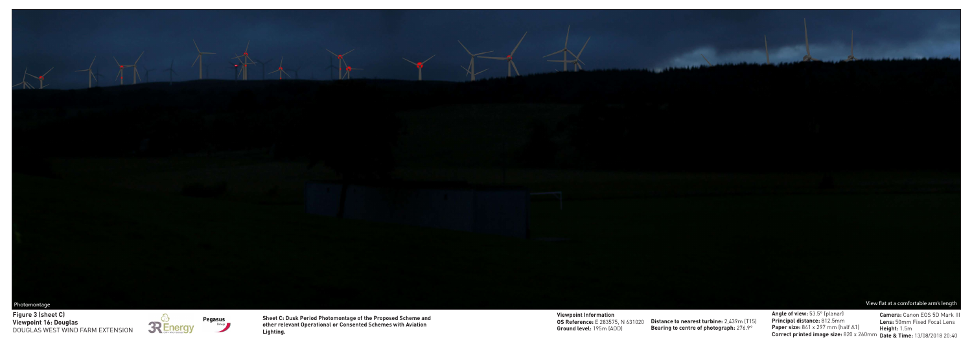![](_page_2_Picture_0.jpeg)

**Angle of view:** 53.5° (planar) **Principal distance:** 812.5mm **Paper size:** 841 x 297 mm (half A1) **Correct printed image size:** 820 x 260mm **Date & Time:** 13/08/2018 20:40

**Viewpoint 16: Douglas Figure 3 (sheet C)** DOUGLAS WEST WIND FARM EXTENSION

![](_page_2_Picture_2.jpeg)

![](_page_2_Picture_3.jpeg)

**OS Reference:** E 283575, N 631020 Distance to nearest turbine: 2,439m (T15) **Bearing to centre of photograph:** 276.9°

**Camera:** Canon EOS 5D Mark III **Lens:** 50mm Fixed Focal Lens **Height:** 1.5m

**Viewpoint Information Ground level:** 195m (AOD)

**Sheet C: Dusk Period Photomontage of the Proposed Scheme and other relevant Operational or Consented Schemes with Aviation Lighting.**